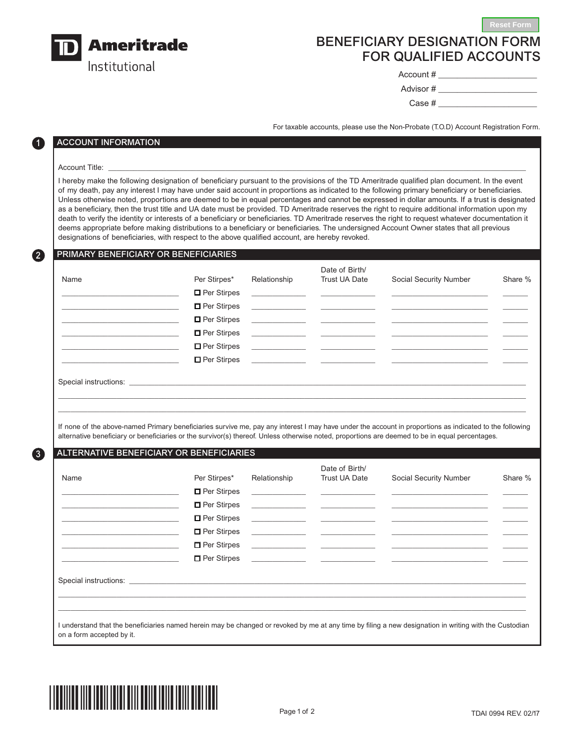

# BENEFICIARY DESIGNATION FORM FOR QUALIFIED ACCOUNTS

Account # \_\_\_\_\_\_\_\_\_\_\_\_\_\_\_\_\_\_\_\_\_

**Reset Form**

Advisor # \_\_\_\_\_\_\_\_\_\_\_\_\_\_\_\_\_\_\_\_\_ Case  $\#$ 

For taxable accounts, please use the Non-Probate (T.O.D) Account Registration Form.

## ACCOUNT INFORMATION

### Account Title: \_\_\_\_\_\_\_\_\_\_\_\_\_\_\_\_\_\_\_\_\_\_\_\_\_\_\_\_\_\_\_\_\_\_\_\_\_\_\_\_\_\_\_\_\_\_\_\_\_\_\_\_\_\_\_\_\_\_\_\_\_\_\_\_\_\_\_\_\_\_\_\_\_\_\_\_\_\_\_\_\_\_\_\_\_\_\_\_\_\_\_\_\_\_\_\_\_\_\_\_

1

2

3

I hereby make the following designation of beneficiary pursuant to the provisions of the TD Ameritrade qualified plan document. In the event of my death, pay any interest I may have under said account in proportions as indicated to the following primary beneficiary or beneficiaries. Unless otherwise noted, proportions are deemed to be in equal percentages and cannot be expressed in dollar amounts. If a trust is designated as a beneficiary, then the trust title and UA date must be provided. TD Ameritrade reserves the right to require additional information upon my death to verify the identity or interests of a beneficiary or beneficiaries. TD Ameritrade reserves the right to request whatever documentation it deems appropriate before making distributions to a beneficiary or beneficiaries. The undersigned Account Owner states that all previous designations of beneficiaries, with respect to the above qualified account, are hereby revoked.

## PRIMARY BENEFICIARY OR BENEFICIARIES

| Name | Per Stirpes*                                                                                                                                                                                                                         | Relationship | Date of Birth/<br>Trust UA Date                                                                                                                      | Social Security Number                                                                                                                                                                                                               | Share % |
|------|--------------------------------------------------------------------------------------------------------------------------------------------------------------------------------------------------------------------------------------|--------------|------------------------------------------------------------------------------------------------------------------------------------------------------|--------------------------------------------------------------------------------------------------------------------------------------------------------------------------------------------------------------------------------------|---------|
|      | $\Box$ Per Stirpes                                                                                                                                                                                                                   |              |                                                                                                                                                      | <u> Alexandro Alexandro Alexandro Alexandro Alexandro Alexandro Alexandro Alexandro Alexandro Alexandro Alexandro Alexandro Alexandro Alexandro Alexandro Alexandro Alexandro Alexandro Alexandro Alexandro Alexandro Alexandro </u> |         |
|      | $\Box$ Per Stirpes                                                                                                                                                                                                                   |              |                                                                                                                                                      |                                                                                                                                                                                                                                      |         |
|      | $\Box$ Per Stirpes                                                                                                                                                                                                                   |              |                                                                                                                                                      |                                                                                                                                                                                                                                      |         |
|      | $\Box$ Per Stirpes                                                                                                                                                                                                                   |              | <u> 1989 - John Stein, Amerikaansk politiker (* 1908)</u>                                                                                            |                                                                                                                                                                                                                                      |         |
|      | $\Box$ Per Stirpes                                                                                                                                                                                                                   |              | <u> 1980 - Andrea Maria Alemania, prima alemania de la provincia de la provincia de la provincia de la provincia </u>                                |                                                                                                                                                                                                                                      |         |
|      | $\Box$ Per Stirpes                                                                                                                                                                                                                   |              | <u> 1980 - Jan Samuel Barbara, margaret e</u> n 1980 <mark>- Antonio III (h. 1900).</mark><br>1900 - Johann Barbara, margaret eta idazlea (h. 1900). |                                                                                                                                                                                                                                      |         |
|      | Special instructions: <u>contract the contract of the contract of the contract of the contract of the contract of the contract of the contract of the contract of the contract of the contract of the contract of the contract o</u> |              |                                                                                                                                                      |                                                                                                                                                                                                                                      |         |

If none of the above-named Primary beneficiaries survive me, pay any interest I may have under the account in proportions as indicated to the following alternative beneficiary or beneficiaries or the survivor(s) thereof. Unless otherwise noted, proportions are deemed to be in equal percentages.

\_\_\_\_\_\_\_\_\_\_\_\_\_\_\_\_\_\_\_\_\_\_\_\_\_\_\_\_\_\_\_\_\_\_\_\_\_\_\_\_\_\_\_\_\_\_\_\_\_\_\_\_\_\_\_\_\_\_\_\_\_\_\_\_\_\_\_\_\_\_\_\_\_\_\_\_\_\_\_\_\_\_\_\_\_\_\_\_\_\_\_\_\_\_\_\_\_\_\_\_\_\_\_\_\_\_\_\_\_\_\_\_ \_\_\_\_\_\_\_\_\_\_\_\_\_\_\_\_\_\_\_\_\_\_\_\_\_\_\_\_\_\_\_\_\_\_\_\_\_\_\_\_\_\_\_\_\_\_\_\_\_\_\_\_\_\_\_\_\_\_\_\_\_\_\_\_\_\_\_\_\_\_\_\_\_\_\_\_\_\_\_\_\_\_\_\_\_\_\_\_\_\_\_\_\_\_\_\_\_\_\_\_\_\_\_\_\_\_\_\_\_\_\_\_

#### ALTERNATIVE BENEFICIARY OR BENEFICIARIES

| Name                                                                                                                                                                                                                           | Per Stirpes*       | Relationship | Date of Birth/<br>Trust UA Date | Social Security Number                                                                                                                                                                                                               | Share % |
|--------------------------------------------------------------------------------------------------------------------------------------------------------------------------------------------------------------------------------|--------------------|--------------|---------------------------------|--------------------------------------------------------------------------------------------------------------------------------------------------------------------------------------------------------------------------------------|---------|
|                                                                                                                                                                                                                                | $\Box$ Per Stirpes |              |                                 |                                                                                                                                                                                                                                      |         |
|                                                                                                                                                                                                                                | □ Per Stirpes      |              |                                 | <u> 1999 - Jan James James Barnett, fransk politik (d. 1989)</u>                                                                                                                                                                     |         |
|                                                                                                                                                                                                                                | $\Box$ Per Stirpes |              |                                 |                                                                                                                                                                                                                                      |         |
|                                                                                                                                                                                                                                | $\Box$ Per Stirpes |              |                                 |                                                                                                                                                                                                                                      |         |
|                                                                                                                                                                                                                                | $\Box$ Per Stirpes |              |                                 |                                                                                                                                                                                                                                      |         |
|                                                                                                                                                                                                                                | $\Box$ Per Stirpes |              |                                 | <u> Alexandro Alexandro Alexandro Alexandro Alexandro Alexandro Alexandro Alexandro Alexandro Alexandro Alexandro Alexandro Alexandro Alexandro Alexandro Alexandro Alexandro Alexandro Alexandro Alexandro Alexandro Alexandro </u> |         |
| Special instructions: the contract of the contract of the contract of the contract of the contract of the contract of the contract of the contract of the contract of the contract of the contract of the contract of the cont |                    |              |                                 |                                                                                                                                                                                                                                      |         |
|                                                                                                                                                                                                                                |                    |              |                                 |                                                                                                                                                                                                                                      |         |
| I understand that the beneficiaries named herein may be changed or revoked by me at any time by filing a new designation in writing with the Custodian<br>on a form accepted by it.                                            |                    |              |                                 |                                                                                                                                                                                                                                      |         |